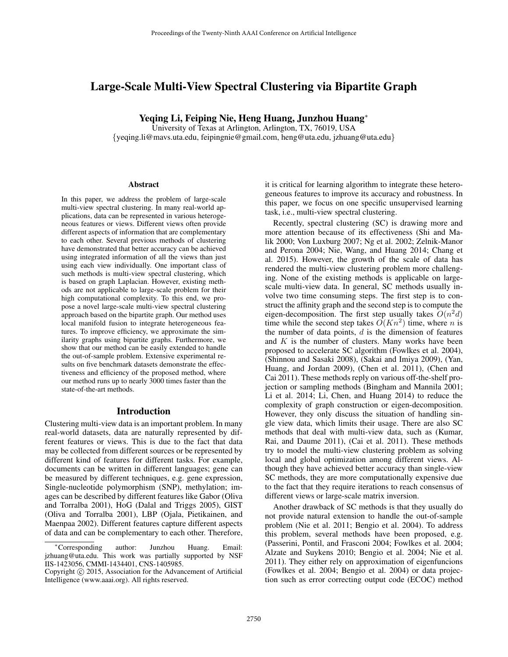# Large-Scale Multi-View Spectral Clustering via Bipartite Graph

Yeqing Li, Feiping Nie, Heng Huang, Junzhou Huang<sup>∗</sup>

University of Texas at Arlington, Arlington, TX, 76019, USA {yeqing.li@mavs.uta.edu, feipingnie@gmail.com, heng@uta.edu, jzhuang@uta.edu}

#### **Abstract**

In this paper, we address the problem of large-scale multi-view spectral clustering. In many real-world applications, data can be represented in various heterogeneous features or views. Different views often provide different aspects of information that are complementary to each other. Several previous methods of clustering have demonstrated that better accuracy can be achieved using integrated information of all the views than just using each view individually. One important class of such methods is multi-view spectral clustering, which is based on graph Laplacian. However, existing methods are not applicable to large-scale problem for their high computational complexity. To this end, we propose a novel large-scale multi-view spectral clustering approach based on the bipartite graph. Our method uses local manifold fusion to integrate heterogeneous features. To improve efficiency, we approximate the similarity graphs using bipartite graphs. Furthermore, we show that our method can be easily extended to handle the out-of-sample problem. Extensive experimental results on five benchmark datasets demonstrate the effectiveness and efficiency of the proposed method, where our method runs up to nearly 3000 times faster than the state-of-the-art methods.

### Introduction

Clustering multi-view data is an important problem. In many real-world datasets, data are naturally represented by different features or views. This is due to the fact that data may be collected from different sources or be represented by different kind of features for different tasks. For example, documents can be written in different languages; gene can be measured by different techniques, e.g. gene expression, Single-nucleotide polymorphism (SNP), methylation; images can be described by different features like Gabor (Oliva and Torralba 2001), HoG (Dalal and Triggs 2005), GIST (Oliva and Torralba 2001), LBP (Ojala, Pietikainen, and Maenpaa 2002). Different features capture different aspects of data and can be complementary to each other. Therefore,

it is critical for learning algorithm to integrate these heterogeneous features to improve its accuracy and robustness. In this paper, we focus on one specific unsupervised learning task, i.e., multi-view spectral clustering.

Recently, spectral clustering (SC) is drawing more and more attention because of its effectiveness (Shi and Malik 2000; Von Luxburg 2007; Ng et al. 2002; Zelnik-Manor and Perona 2004; Nie, Wang, and Huang 2014; Chang et al. 2015). However, the growth of the scale of data has rendered the multi-view clustering problem more challenging. None of the existing methods is applicable on largescale multi-view data. In general, SC methods usually involve two time consuming steps. The first step is to construct the affinity graph and the second step is to compute the eigen-decomposition. The first step usually takes  $O(n^2d)$ time while the second step takes  $O(Kn^2)$  time, where n is the number of data points,  $d$  is the dimension of features and  $K$  is the number of clusters. Many works have been proposed to accelerate SC algorithm (Fowlkes et al. 2004), (Shinnou and Sasaki 2008), (Sakai and Imiya 2009), (Yan, Huang, and Jordan 2009), (Chen et al. 2011), (Chen and Cai 2011). These methods reply on various off-the-shelf projection or sampling methods (Bingham and Mannila 2001; Li et al. 2014; Li, Chen, and Huang 2014) to reduce the complexity of graph construction or eigen-decomposition. However, they only discuss the situation of handling single view data, which limits their usage. There are also SC methods that deal with multi-view data, such as (Kumar, Rai, and Daume 2011), (Cai et al. 2011). These methods try to model the multi-view clustering problem as solving local and global optimization among different views. Although they have achieved better accuracy than single-view SC methods, they are more computationally expensive due to the fact that they require iterations to reach consensus of different views or large-scale matrix inversion.

Another drawback of SC methods is that they usually do not provide natural extension to handle the out-of-sample problem (Nie et al. 2011; Bengio et al. 2004). To address this problem, several methods have been proposed, e.g. (Passerini, Pontil, and Frasconi 2004; Fowlkes et al. 2004; Alzate and Suykens 2010; Bengio et al. 2004; Nie et al. 2011). They either rely on approximation of eigenfuncions (Fowlkes et al. 2004; Bengio et al. 2004) or data projection such as error correcting output code (ECOC) method

<sup>∗</sup>Corresponding author: Junzhou Huang. Email: jzhuang@uta.edu. This work was partially supported by NSF IIS-1423056, CMMI-1434401, CNS-1405985.

Copyright © 2015, Association for the Advancement of Artificial Intelligence (www.aaai.org). All rights reserved.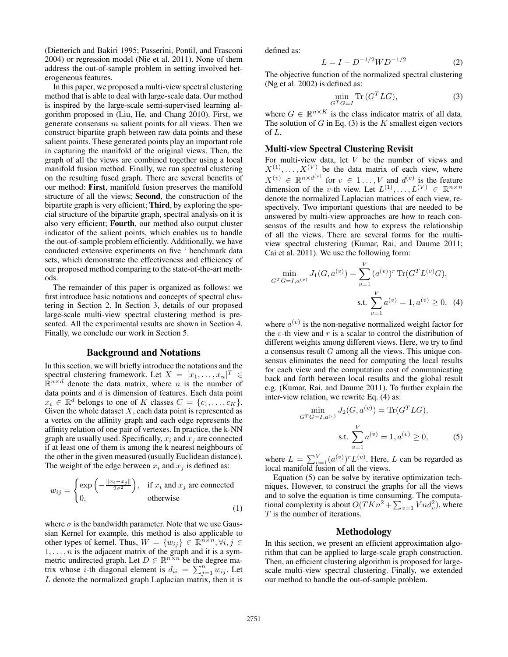(Dietterich and Bakiri 1995; Passerini, Pontil, and Frasconi 2004) or regression model (Nie et al. 2011). None of them address the out-of-sample problem in setting involved heterogeneous features.

In this paper, we proposed a multi-view spectral clustering method that is able to deal with large-scale data. Our method is inspired by the large-scale semi-supervised learning algorithm proposed in (Liu, He, and Chang 2010). First, we generate consensus  $m$  salient points for all views. Then we construct bipartite graph between raw data points and these salient points. These generated points play an important role in capturing the manifold of the original views. Then, the graph of all the views are combined together using a local manifold fusion method. Finally, we run spectral clustering on the resulting fused graph. There are several benefits of our method: First, manifold fusion preserves the manifold structure of all the views; Second, the construction of the bipartite graph is very efficient; Third, by exploring the special structure of the bipartite graph, spectral analysis on it is also very efficient; Fourth, our method also output cluster indicator of the salient points, which enables us to handle the out-of-sample problem efficiently. Additionally, we have conducted extensive experiments on five ' benchmark data sets, which demonstrate the effectiveness and efficiency of our proposed method comparing to the state-of-the-art methods.

The remainder of this paper is organized as follows: we first introduce basic notations and concepts of spectral clustering in Section 2. In Section 3, details of our proposed large-scale multi-view spectral clustering method is presented. All the experimental results are shown in Section 4. Finally, we conclude our work in Section 5.

# Background and Notations

In this section, we will briefly introduce the notations and the spectral clustering framework. Let  $X = [x_1, \ldots, x_n]^T \in$  $\mathbb{R}^{n \times d}$  denote the data matrix, where *n* is the number of data points and  $d$  is dimension of features. Each data point  $x_i \in \mathbb{R}^d$  belongs to one of K classes  $C = \{c_1, \ldots, c_K\}.$ Given the whole dataset  $X$ , each data point is represented as a vertex on the affinity graph and each edge represents the affinity relation of one pair of vertexes. In practice, the k-NN graph are usually used. Specifically,  $x_i$  and  $x_j$  are connected if at least one of them is among the k nearest neighbours of the other in the given measured (usually Euclidean distance). The weight of the edge between  $x_i$  and  $x_j$  is defined as:

$$
w_{ij} = \begin{cases} \exp\left(-\frac{\|x_i - x_j\|}{2\sigma^2}\right), & \text{if } x_i \text{ and } x_j \text{ are connected} \\ 0, & \text{otherwise} \end{cases}
$$
(1)

where  $\sigma$  is the bandwidth parameter. Note that we use Gaussian Kernel for example, this method is also applicable to other types of kernel. Thus,  $W = \{w_{ij}\} \in \mathbb{R}^{n \times n}, \forall i, j \in \mathbb{R}$  $1, \ldots, n$  is the adjacent matrix of the graph and it is a symmetric undirected graph. Let  $D \in \mathbb{R}^{n \times n}$  be the degree matrix whose *i*-th diagonal element is  $d_{ii} = \sum_{j=1}^{n} w_{ij}$ . Let  $L$  denote the normalized graph Laplacian matrix, then it is

defined as:

$$
L = I - D^{-1/2} W D^{-1/2}
$$
 (2)

The objective function of the normalized spectral clustering (Ng et al. 2002) is defined as:

$$
\min_{G^T G = I} \text{Tr}(G^T LG),\tag{3}
$$

where  $G \in \mathbb{R}^{n \times K}$  is the class indicator matrix of all data. The solution of  $G$  in Eq. (3) is the  $K$  smallest eigen vectors of L.

# Multi-view Spectral Clustering Revisit

For multi-view data, let V be the number of views and  $X^{(1)}, \ldots, X^{(V)}$  be the data matrix of each view, where  $X^{(v)} \in \mathbb{R}^{n \times d^{(v)}}$  for  $v \in 1 \dots, V$  and  $d^{(v)}$  is the feature dimension of the v-th view. Let  $L^{(1)}, \ldots, L^{(V)} \in \mathbb{R}^{n \times n}$ denote the normalized Laplacian matrices of each view, respectively. Two important questions that are needed to be answered by multi-view approaches are how to reach consensus of the results and how to express the relationship of all the views. There are several forms for the multiview spectral clustering (Kumar, Rai, and Daume 2011; Cai et al. 2011). We use the following form:

$$
\min_{G^T G = I, a^{(v)}} J_1(G, a^{(v)}) = \sum_{v=1}^V (a^{(v)})^r \operatorname{Tr}(G^T L^{(v)} G),
$$
  
s.t. 
$$
\sum_{v=1}^V a^{(v)} = 1, a^{(v)} \ge 0, \quad (4)
$$

where  $a^{(v)}$  is the non-negative normalized weight factor for the v-th view and  $r$  is a scalar to control the distribution of different weights among different views. Here, we try to find a consensus result G among all the views. This unique consensus eliminates the need for computing the local results for each view and the computation cost of communicating back and forth between local results and the global result e.g. (Kumar, Rai, and Daume 2011). To further explain the inter-view relation, we rewrite Eq. (4) as:

$$
\min_{G^T G = I, a^{(v)}} J_2(G, a^{(v)}) = \text{Tr}(G^T LG),
$$
  
s.t. 
$$
\sum_{v=1}^{V} a^{(v)} = 1, a^{(v)} \ge 0,
$$
 (5)

where  $L = \sum_{v=1}^{V} (a^{(v)})^r L^{(v)}$ . Here, L can be regarded as local manifold fusion of all the views.

Equation (5) can be solve by iterative optimization techniques. However, to construct the graphs for all the views and to solve the equation is time consuming. The computational complexity is about  $O(TKn^2 + \sum_{v=1} Vnd_v^2)$ , where T is the number of iterations.

# Methodology

In this section, we present an efficient approximation algorithm that can be applied to large-scale graph construction. Then, an efficient clustering algorithm is proposed for largescale multi-view spectral clustering. Finally, we extended our method to handle the out-of-sample problem.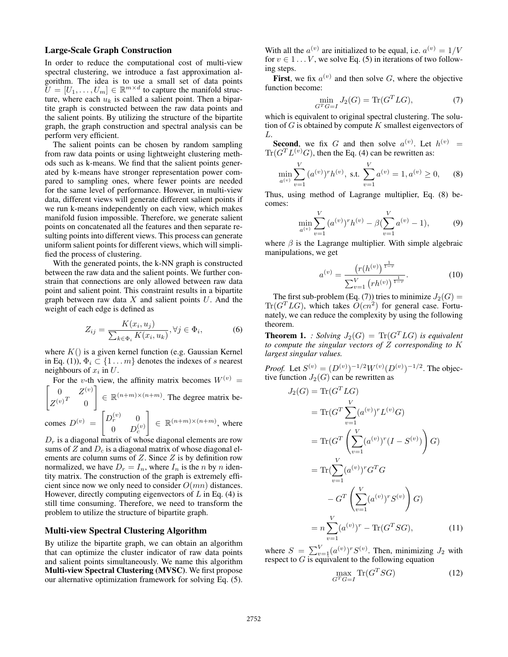# Large-Scale Graph Construction

In order to reduce the computational cost of multi-view spectral clustering, we introduce a fast approximation algorithm. The idea is to use a small set of data points  $\widetilde{U} = [U_1, \ldots, U_m] \in \mathbb{R}^{m \times d}$  to capture the manifold structure, where each  $u_k$  is called a salient point. Then a bipartite graph is constructed between the raw data points and the salient points. By utilizing the structure of the bipartite graph, the graph construction and spectral analysis can be perform very efficient.

The salient points can be chosen by random sampling from raw data points or using lightweight clustering methods such as k-means. We find that the salient points generated by k-means have stronger representation power compared to sampling ones, where fewer points are needed for the same level of performance. However, in multi-view data, different views will generate different salient points if we run k-means independently on each view, which makes manifold fusion impossible. Therefore, we generate salient points on concatenated all the features and then separate resulting points into different views. This process can generate uniform salient points for different views, which will simplified the process of clustering.

With the generated points, the k-NN graph is constructed between the raw data and the salient points. We further constrain that connections are only allowed between raw data point and salient point. This constraint results in a bipartite graph between raw data  $X$  and salient points  $U$ . And the weight of each edge is defined as

$$
Z_{ij} = \frac{K(x_i, u_j)}{\sum_{k \in \Phi_i} K(x_i, u_k)}, \forall j \in \Phi_i,
$$
 (6)

where  $K()$  is a given kernel function (e.g. Gaussian Kernel in Eq. (1)),  $\Phi_i \subset \{1 \dots m\}$  denotes the indexes of s nearest neighbours of  $x_i$  in  $U$ .

 $\begin{bmatrix} 0 & Z^{(v)} \end{bmatrix}$ For the v-th view, the affinity matrix becomes  $W^{(v)} =$  $\Big] \in \mathbb{R}^{(n+m)\times(n+m)}$ . The degree matrix be-

 $Z^{(v)^T}$  0

comes 
$$
D^{(v)} = \begin{bmatrix} D_r^{(v)} & 0 \\ 0 & D_c^{(v)} \end{bmatrix} \in \mathbb{R}^{(n+m)\times(n+m)}
$$
, where

 $D<sub>r</sub>$  is a diagonal matrix of whose diagonal elements are row sums of  $Z$  and  $D<sub>c</sub>$  is a diagonal matrix of whose diagonal elements are column sums of  $Z$ . Since  $Z$  is by definition row normalized, we have  $D_r = I_n$ , where  $I_n$  is the *n* by *n* identity matrix. The construction of the graph is extremely efficient since now we only need to consider  $O(mn)$  distances. However, directly computing eigenvectors of  $L$  in Eq. (4) is still time consuming. Therefore, we need to transform the problem to utilize the structure of bipartite graph.

### Multi-view Spectral Clustering Algorithm

By utilize the bipartite graph, we can obtain an algorithm that can optimize the cluster indicator of raw data points and salient points simultaneously. We name this algorithm Multi-view Spectral Clustering (MVSC). We first propose our alternative optimization framework for solving Eq. (5).

With all the  $a^{(v)}$  are initialized to be equal, i.e.  $a^{(v)} = 1/V$ for  $v \in 1...V$ , we solve Eq. (5) in iterations of two following steps.

First, we fix  $a^{(v)}$  and then solve G, where the objective function become:

$$
\min_{G^T G = I} J_2(G) = \text{Tr}(G^T LG),\tag{7}
$$

which is equivalent to original spectral clustering. The solution of  $G$  is obtained by compute  $K$  smallest eigenvectors of L.

**Second**, we fix G and then solve  $a^{(v)}$ . Let  $h^{(v)} =$  $\text{Tr}(G^T L^{(v)} G)$ , then the Eq. (4) can be rewritten as:

$$
\min_{a^{(v)}} \sum_{v=1}^{V} (a^{(v)})^r h^{(v)}, \text{ s.t. } \sum_{v=1}^{V} a^{(v)} = 1, a^{(v)} \ge 0,
$$
 (8)

Thus, using method of Lagrange multiplier, Eq. (8) becomes:

$$
\min_{a^{(v)}} \sum_{v=1}^{V} (a^{(v)})^r h^{(v)} - \beta (\sum_{v=1}^{V} a^{(v)} - 1),
$$
 (9)

where  $\beta$  is the Lagrange multiplier. With simple algebraic manipulations, we get

$$
a^{(v)} = \frac{\left(r(h^{(v)})^{\frac{1}{1-r}}\right)}{\sum_{v=1}^{V} \left(rh^{(v)}\right)^{\frac{1}{1-r}}}. \tag{10}
$$

The first sub-problem (Eq. (7)) tries to minimize  $J_2(G)$  =  $\text{Tr}(G^T L G)$ , which takes  $\tilde{O}(cn^2)$  for general case. Fortunately, we can reduce the complexity by using the following theorem.

**Theorem 1.** *: Solving*  $J_2(G) = \text{Tr}(G^T LG)$  *is equivalent to compute the singular vectors of* Z *corresponding to* K *largest singular values.*

*Proof.* Let  $S^{(v)} = (D^{(v)})^{-1/2}W^{(v)}(D^{(v)})^{-1/2}$ . The objective function  $J_2(G)$  can be rewritten as

$$
J_2(G) = \text{Tr}(G^T LG)
$$
  
=  $\text{Tr}(G^T \sum_{v=1}^V (a^{(v)})^r L^{(v)} G)$   
=  $\text{Tr}(G^T \left( \sum_{v=1}^V (a^{(v)})^r (I - S^{(v)}) \right) G)$   
=  $\text{Tr}(\sum_{v=1}^V (a^{(v)})^r G^T G$   
 $- G^T \left( \sum_{v=1}^V (a^{(v)})^r S^{(v)} \right) G)$   
=  $n \sum_{v=1}^V (a^{(v)})^r - \text{Tr}(G^T SG),$  (11)

where  $S = \sum_{v=1}^{V} (a^{(v)})^r S^{(v)}$ . Then, minimizing  $J_2$  with respect to  $G$  is equivalent to the following equation

$$
\max_{G^T G = I} \text{Tr}(G^T SG) \tag{12}
$$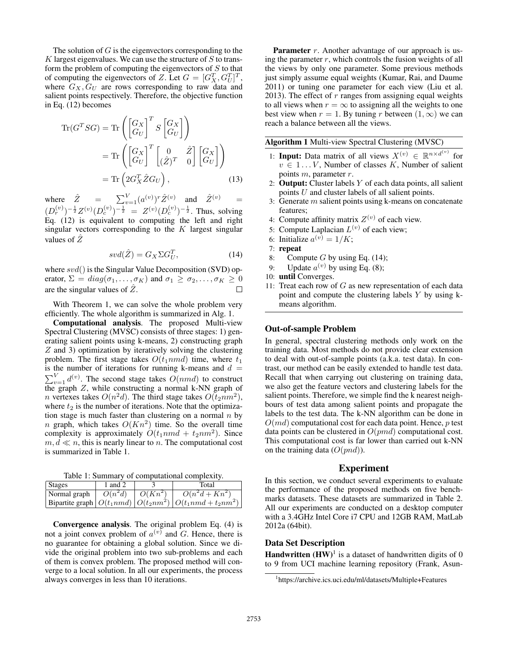The solution of  $G$  is the eigenvectors corresponding to the  $K$  largest eigenvalues. We can use the structure of  $S$  to transform the problem of computing the eigenvectors of  $S$  to that of computing the eigenvectors of Z. Let  $G = [G_X^T, G_U^T]^T$ , where  $G_X, G_U$  are rows corresponding to raw data and salient points respectively. Therefore, the objective function in Eq. (12) becomes

$$
\operatorname{Tr}(G^T SG) = \operatorname{Tr}\left(\begin{bmatrix} G_X \\ G_U \end{bmatrix}^T S \begin{bmatrix} G_X \\ G_U \end{bmatrix}\right)
$$

$$
= \operatorname{Tr}\left(\begin{bmatrix} G_X \\ G_U \end{bmatrix}^T \begin{bmatrix} 0 & \hat{Z} \\ (\hat{Z})^T & 0 \end{bmatrix} \begin{bmatrix} G_X \\ G_U \end{bmatrix}\right)
$$

$$
= \operatorname{Tr}\left(2G_X^T \hat{Z} G_U\right), \tag{13}
$$

where  $\hat{Z} = \sum_{v=1}^{V} (a^{(v)})^r \hat{Z}^{(v)}$  and  $\hat{Z}^{(v)} =$  $(D_r^{(v)})^{-\frac{1}{2}}Z^{(v)}(D_c^{(v)})^{-\frac{1}{2}} = Z^{(v)}(D_c^{(v)})^{-\frac{1}{2}}$ . Thus, solving Eq. (12) is equivalent to computing the left and right singular vectors corresponding to the  $K$  largest singular values of  $Z$ 

$$
svd(\hat{Z}) = G_X \Sigma G_U^T,\tag{14}
$$

where  $svd()$  is the Singular Value Decomposition (SVD) operator,  $\Sigma = diag(\sigma_1, \ldots, \sigma_K)$  and  $\sigma_1 \geq \sigma_2, \ldots, \sigma_K \geq 0$ are the singular values of  $\hat{Z}$ .

With Theorem 1, we can solve the whole problem very efficiently. The whole algorithm is summarized in Alg. 1.

Computational analysis. The proposed Multi-view Spectral Clustering (MVSC) consists of three stages: 1) generating salient points using k-means, 2) constructing graph Z and 3) optimization by iteratively solving the clustering problem. The first stage takes  $O(t_1nmd)$  time, where  $t_1$ is the number of iterations for running k-means and  $d =$  $\sum_{v=1}^{V} d^{(v)}$ . The second stage takes  $O(nmd)$  to construct the graph  $Z$ , while constructing a normal k-NN graph of *n* vertexes takes  $O(n^2d)$ . The third stage takes  $O(t_2nm^2)$ , where  $t_2$  is the number of iterations. Note that the optimization stage is much faster than clustering on a normal  $n$  by n graph, which takes  $O(Kn^2)$  time. So the overall time complexity is approximately  $O(t_1nmd + t_2nm^2)$ . Since  $m, d \ll n$ , this is nearly linear to n. The computational cost is summarized in Table 1.

Table 1: Summary of computational complexity.

| <b>Stages</b> | 1 and 2   |           | Total                                                              |
|---------------|-----------|-----------|--------------------------------------------------------------------|
| Normal graph  | $O(n^2d)$ | $O(Kn^2)$ | $O(n^2d + Kn^2)$                                                   |
|               |           |           | Bipartite graph $ O(t_1 nmd)  O(t_2 nm^2)   O(t_1 nmd + t_2 nm^2)$ |

Convergence analysis. The original problem Eq. (4) is not a joint convex problem of  $a^{(v)}$  and G. Hence, there is no guarantee for obtaining a global solution. Since we divide the original problem into two sub-problems and each of them is convex problem. The proposed method will converge to a local solution. In all our experiments, the process always converges in less than 10 iterations.

**Parameter**  $r$ . Another advantage of our approach is using the parameter  $r$ , which controls the fusion weights of all the views by only one parameter. Some previous methods just simply assume equal weights (Kumar, Rai, and Daume 2011) or tuning one parameter for each view (Liu et al. 2013). The effect of  $r$  ranges from assigning equal weights to all views when  $r = \infty$  to assigning all the weights to one best view when  $r = 1$ . By tuning r between  $(1, \infty)$  we can reach a balance between all the views.

| Algorithm 1 Multi-view Spectral Clustering (MVSC) |  |
|---------------------------------------------------|--|
|---------------------------------------------------|--|

- 1: **Input:** Data matrix of all views  $X^{(v)} \in \mathbb{R}^{n \times d^{(v)}}$  for  $v \in 1...V$ , Number of classes K, Number of salient points m, parameter r.
- 2: **Output:** Cluster labels  $Y$  of each data points, all salient points  $U$  and cluster labels of all salient points.
- 3: Generate  $m$  salient points using  $k$ -means on concatenate features;
- 4: Compute affinity matrix  $Z^{(v)}$  of each view.
- 5: Compute Laplacian  $L^{(v)}$  of each view;
- 6: Initialize  $a^{(v)} = 1/K$ ;
- 7: repeat
- 8: Compute G by using Eq.  $(14)$ ;
- 9: Update  $a^{(v)}$  by using Eq. (8);
- 10: until Converges.
- 11: Treat each row of  $G$  as new representation of each data point and compute the clustering labels Y by using kmeans algorithm.

#### Out-of-sample Problem

In general, spectral clustering methods only work on the training data. Most methods do not provide clear extension to deal with out-of-sample points (a.k.a. test data). In contrast, our method can be easily extended to handle test data. Recall that when carrying out clustering on training data, we also get the feature vectors and clustering labels for the salient points. Therefore, we simple find the k nearest neighbours of test data among salient points and propagate the labels to the test data. The k-NN algorithm can be done in  $O(md)$  computational cost for each data point. Hence,  $p$  test data points can be clustered in  $O(pmd)$  computational cost. This computational cost is far lower than carried out k-NN on the training data  $(O(pnd))$ .

#### Experiment

In this section, we conduct several experiments to evaluate the performance of the proposed methods on five benchmarks datasets. These datasets are summarized in Table 2. All our experiments are conducted on a desktop computer with a 3.4GHz Intel Core i7 CPU and 12GB RAM, MatLab 2012a (64bit).

### Data Set Description

**Handwritten**  $(HW)^{1}$  is a dataset of handwritten digits of 0 to 9 from UCI machine learning repository (Frank, Asun-

<sup>1</sup> https://archive.ics.uci.edu/ml/datasets/Multiple+Features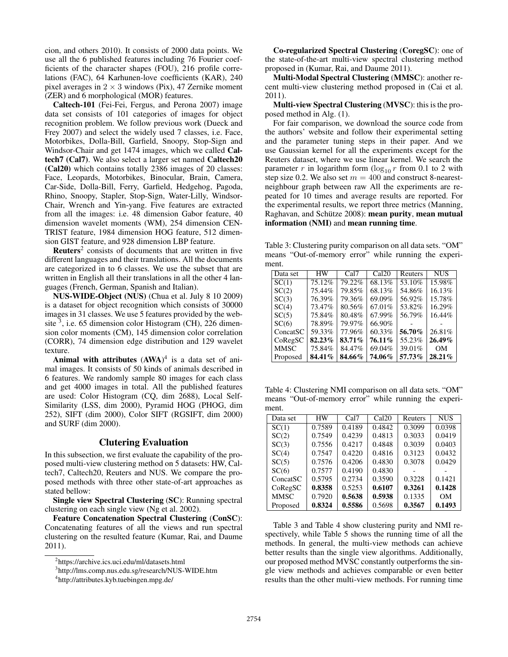cion, and others 2010). It consists of 2000 data points. We use all the 6 published features including 76 Fourier coefficients of the character shapes (FOU), 216 profile correlations (FAC), 64 Karhunen-love coefficients (KAR), 240 pixel averages in  $2 \times 3$  windows (Pix), 47 Zernike moment (ZER) and 6 morphological (MOR) features.

Caltech-101 (Fei-Fei, Fergus, and Perona 2007) image data set consists of 101 categories of images for object recognition problem. We follow previous work (Dueck and Frey 2007) and select the widely used 7 classes, i.e. Face, Motorbikes, Dolla-Bill, Garfield, Snoopy, Stop-Sign and Windsor-Chair and get 1474 images, which we called Caltech7 (Cal7). We also select a larger set named Caltech20 (Cal20) which contains totally 2386 images of 20 classes: Face, Leopards, Motorbikes, Binocular, Brain, Camera, Car-Side, Dolla-Bill, Ferry, Garfield, Hedgehog, Pagoda, Rhino, Snoopy, Stapler, Stop-Sign, Water-Lilly, Windsor-Chair, Wrench and Yin-yang. Five features are extracted from all the images: i.e. 48 dimension Gabor feature, 40 dimension wavelet moments (WM), 254 dimension CEN-TRIST feature, 1984 dimension HOG feature, 512 dimension GIST feature, and 928 dimension LBP feature.

Reuters<sup>2</sup> consists of documents that are written in five different languages and their translations. All the documents are categorized in to 6 classes. We use the subset that are written in English all their translations in all the other 4 languages (French, German, Spanish and Italian).

NUS-WIDE-Object (NUS) (Chua et al. July 8 10 2009) is a dataset for object recognition which consists of 30000 images in 31 classes. We use 5 features provided by the website  $\overline{3}$ , i.e. 65 dimension color Histogram (CH), 226 dimension color moments (CM), 145 dimension color correlation (CORR), 74 dimension edge distribution and 129 wavelet texture.

Animal with attributes  $(AWA)^4$  is a data set of animal images. It consists of 50 kinds of animals described in 6 features. We randomly sample 80 images for each class and get 4000 images in total. All the published features are used: Color Histogram (CQ, dim 2688), Local Self-Similarity (LSS, dim 2000), Pyramid HOG (PHOG, dim 252), SIFT (dim 2000), Color SIFT (RGSIFT, dim 2000) and SURF (dim 2000).

## Clutering Evaluation

In this subsection, we first evaluate the capability of the proposed multi-view clustering method on 5 datasets: HW, Caltech7, Caltech20, Reuters and NUS. We compare the proposed methods with three other state-of-art approaches as stated bellow:

Single view Spectral Clustering (SC): Running spectral clustering on each single view (Ng et al. 2002).

Feature Concatenation Spectral Clustering (ConSC): Concatenating features of all the views and run spectral clustering on the resulted feature (Kumar, Rai, and Daume 2011).

Co-regularized Spectral Clustering (CoregSC): one of the state-of-the-art multi-view spectral clustering method proposed in (Kumar, Rai, and Daume 2011).

Multi-Modal Spectral Clustering (MMSC): another recent multi-view clustering method proposed in (Cai et al. 2011).

Multi-view Spectral Clustering (MVSC): this is the proposed method in Alg. (1).

For fair comparison, we download the source code from the authors' website and follow their experimental setting and the parameter tuning steps in their paper. And we use Gaussian kernel for all the experiments except for the Reuters dataset, where we use linear kernel. We search the parameter r in logarithm form  $(\log_{10} r$  from 0.1 to 2 with step size 0.2. We also set  $m = 400$  and construct 8-nearestneighbour graph between raw All the experiments are repeated for 10 times and average results are reported. For the experimental results, we report three metrics (Manning, Raghavan, and Schütze 2008): mean purity, mean mutual information (NMI) and mean running time.

Table 3: Clustering purity comparison on all data sets. "OM" means "Out-of-memory error" while running the experiment.

| Data set    | HW     | Cal7   | Cal20     | Reuters | <b>NUS</b> |
|-------------|--------|--------|-----------|---------|------------|
| SC(1)       | 75.12% | 79.22% | 68.13%    | 53.10%  | 15.98%     |
| SC(2)       | 75.44% | 79.85% | 68.13%    | 54.86%  | 16.13%     |
| SC(3)       | 76.39% | 79.36% | 69.09%    | 56.92%  | 15.78%     |
| SC(4)       | 73.47% | 80.56% | 67.01%    | 53.82%  | 16.29%     |
| SC(5)       | 75.84% | 80.48% | 67.99%    | 56.79%  | 16.44%     |
| SC(6)       | 78.89% | 79.97% | 66.90%    |         |            |
| ConcatSC    | 59.33% | 77.96% | 60.33%    | 56.70%  | 26.81%     |
| CoRegSC     | 82.23% | 83.71% | $76.11\%$ | 55.23%  | $26.49\%$  |
| <b>MMSC</b> | 75.84% | 84.47% | 69.04%    | 39.01%  | OМ         |
| Proposed    | 84.41% | 84.66% | 74.06%    | 57.73%  | 28.21%     |

Table 4: Clustering NMI comparison on all data sets. "OM" means "Out-of-memory error" while running the experiment.

| Data set    | <b>HW</b> | Cal7   | Cal20  | Reuters | <b>NUS</b> |
|-------------|-----------|--------|--------|---------|------------|
| SC(1)       | 0.7589    | 0.4189 | 0.4842 | 0.3099  | 0.0398     |
| SC(2)       | 0.7549    | 0.4239 | 0.4813 | 0.3033  | 0.0419     |
| SC(3)       | 0.7556    | 0.4217 | 0.4848 | 0.3039  | 0.0403     |
| SC(4)       | 0.7547    | 0.4220 | 0.4816 | 0.3123  | 0.0432     |
| SC(5)       | 0.7576    | 0.4206 | 0.4830 | 0.3078  | 0.0429     |
| SC(6)       | 0.7577    | 0.4190 | 0.4830 |         |            |
| ConcatSC    | 0.5795    | 0.2734 | 0.3590 | 0.3228  | 0.1421     |
| CoRegSC     | 0.8358    | 0.5253 | 0.6107 | 0.3261  | 0.1428     |
| <b>MMSC</b> | 0.7920    | 0.5638 | 0.5938 | 0.1335  | OМ         |
| Proposed    | 0.8324    | 0.5586 | 0.5698 | 0.3567  | 0.1493     |

Table 3 and Table 4 show clustering purity and NMI respectively, while Table 5 shows the running time of all the methods. In general, the multi-view methods can achieve better results than the single view algorithms. Additionally, our proposed method MVSC constantly outperforms the single view methods and achieves comparable or even better results than the other multi-view methods. For running time

<sup>2</sup> https://archive.ics.uci.edu/ml/datasets.html

<sup>3</sup> http://lms.comp.nus.edu.sg/research/NUS-WIDE.htm

<sup>4</sup> http://attributes.kyb.tuebingen.mpg.de/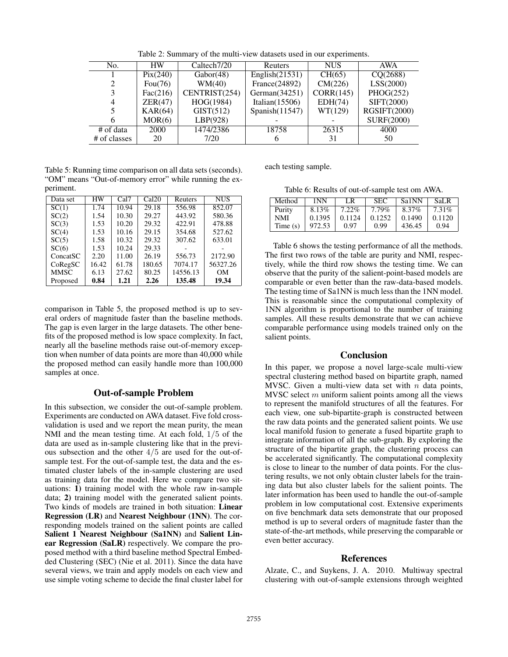| No.          | <b>HW</b>         | Caltech <sub>7/20</sub>       | Reuters           | <b>NUS</b> | AWA          |
|--------------|-------------------|-------------------------------|-------------------|------------|--------------|
|              | $\text{Pix}(240)$ | $\overline{\text{Gabor}}(48)$ | English $(21531)$ | CH(65)     | CO(2688)     |
|              | Fou $(76)$        | WM(40)                        | France(24892)     | CM(226)    | LSS(2000)    |
| 3            | Fac(216)          | CENTRIST(254)                 | German $(34251)$  | CORR(145)  | PHOG(252)    |
| 4            | ZER(47)           | HOG(1984)                     | Italian $(15506)$ | EDH(74)    | SIFT(2000)   |
|              | KAR(64)           | GIST(512)                     | Spanish(11547)    | WT(129)    | RGSIFT(2000) |
| 6            | MOR(6)            | LBP(928)                      |                   |            | SURF(2000)   |
| # of data    | <b>2000</b>       | 1474/2386                     | 18758             | 26315      | 4000         |
| # of classes | 20                | 7/20                          | 6                 | 31         | 50           |

Table 2: Summary of the multi-view datasets used in our experiments.

Table 5: Running time comparison on all data sets (seconds). "OM" means "Out-of-memory error" while running the experiment.

| Data set    | НW    | Cal7  | Cal20  | Reuters  | <b>NUS</b> |
|-------------|-------|-------|--------|----------|------------|
| SC(1)       | 1.74  | 10.94 | 29.18  | 556.98   | 852.07     |
| SC(2)       | 1.54  | 10.30 | 29.27  | 443.92   | 580.36     |
| SC(3)       | 1.53  | 10.20 | 29.32  | 422.91   | 478.88     |
| SC(4)       | 1.53  | 10.16 | 29.15  | 354.68   | 527.62     |
| SC(5)       | 1.58  | 10.32 | 29.32  | 307.62   | 633.01     |
| SC(6)       | 1.53  | 10.24 | 29.33  |          |            |
| ConcatSC    | 2.20  | 11.00 | 26.19  | 556.73   | 2172.90    |
| CoRegSC     | 16.42 | 61.78 | 180.65 | 7074.17  | 56327.26   |
| <b>MMSC</b> | 6.13  | 27.62 | 80.25  | 14556.13 | OМ         |
| Proposed    | 0.84  | 1.21  | 2.26   | 135.48   | 19.34      |

comparison in Table 5, the proposed method is up to several orders of magnitude faster than the baseline methods. The gap is even larger in the large datasets. The other benefits of the proposed method is low space complexity. In fact, nearly all the baseline methods raise out-of-memory exception when number of data points are more than 40,000 while the proposed method can easily handle more than 100,000 samples at once.

# Out-of-sample Problem

In this subsection, we consider the out-of-sample problem. Experiments are conducted on AWA dataset. Five fold crossvalidation is used and we report the mean purity, the mean NMI and the mean testing time. At each fold, 1/5 of the data are used as in-sample clustering like that in the previous subsection and the other 4/5 are used for the out-ofsample test. For the out-of-sample test, the data and the estimated cluster labels of the in-sample clustering are used as training data for the model. Here we compare two situations:  $\hat{1}$ ) training model with the whole raw in-sample data; 2) training model with the generated salient points. Two kinds of models are trained in both situation: Linear Regression (LR) and Nearest Neighbour (1NN). The corresponding models trained on the salient points are called Salient 1 Nearest Neighbour (Sa1NN) and Salient Linear Regression (SaLR) respectively. We compare the proposed method with a third baseline method Spectral Embedded Clustering (SEC) (Nie et al. 2011). Since the data have several views, we train and apply models on each view and use simple voting scheme to decide the final cluster label for

each testing sample.

| Method     | 1NN    | LR       | <b>SEC</b> | Sa1NN  | SaLR     |
|------------|--------|----------|------------|--------|----------|
| Purity     | 8.13%  | $7.22\%$ | $7.79\%$   | 8.37%  | $7.31\%$ |
| NMI        | 0.1395 | 0.1124   | 0.1252     | 0.1490 | 0.1120   |
| Time $(s)$ | 972.53 | O 97     | O 99       | 436.45 | 0.94     |

Table 6 shows the testing performance of all the methods. The first two rows of the table are purity and NMI, respectively, while the third row shows the testing time. We can observe that the purity of the salient-point-based models are comparable or even better than the raw-data-based models. The testing time of Sa1NN is much less than the 1NN model. This is reasonable since the computational complexity of 1NN algorithm is proportional to the number of training samples. All these results demonstrate that we can achieve comparable performance using models trained only on the salient points.

# Conclusion

In this paper, we propose a novel large-scale multi-view spectral clustering method based on bipartite graph, named MVSC. Given a multi-view data set with  $n$  data points, MVSC select  $m$  uniform salient points among all the views to represent the manifold structures of all the features. For each view, one sub-bipartite-graph is constructed between the raw data points and the generated salient points. We use local manifold fusion to generate a fused bipartite graph to integrate information of all the sub-graph. By exploring the structure of the bipartite graph, the clustering process can be accelerated significantly. The computational complexity is close to linear to the number of data points. For the clustering results, we not only obtain cluster labels for the training data but also cluster labels for the salient points. The later information has been used to handle the out-of-sample problem in low computational cost. Extensive experiments on five benchmark data sets demonstrate that our proposed method is up to several orders of magnitude faster than the state-of-the-art methods, while preserving the comparable or even better accuracy.

# **References**

Alzate, C., and Suykens, J. A. 2010. Multiway spectral clustering with out-of-sample extensions through weighted